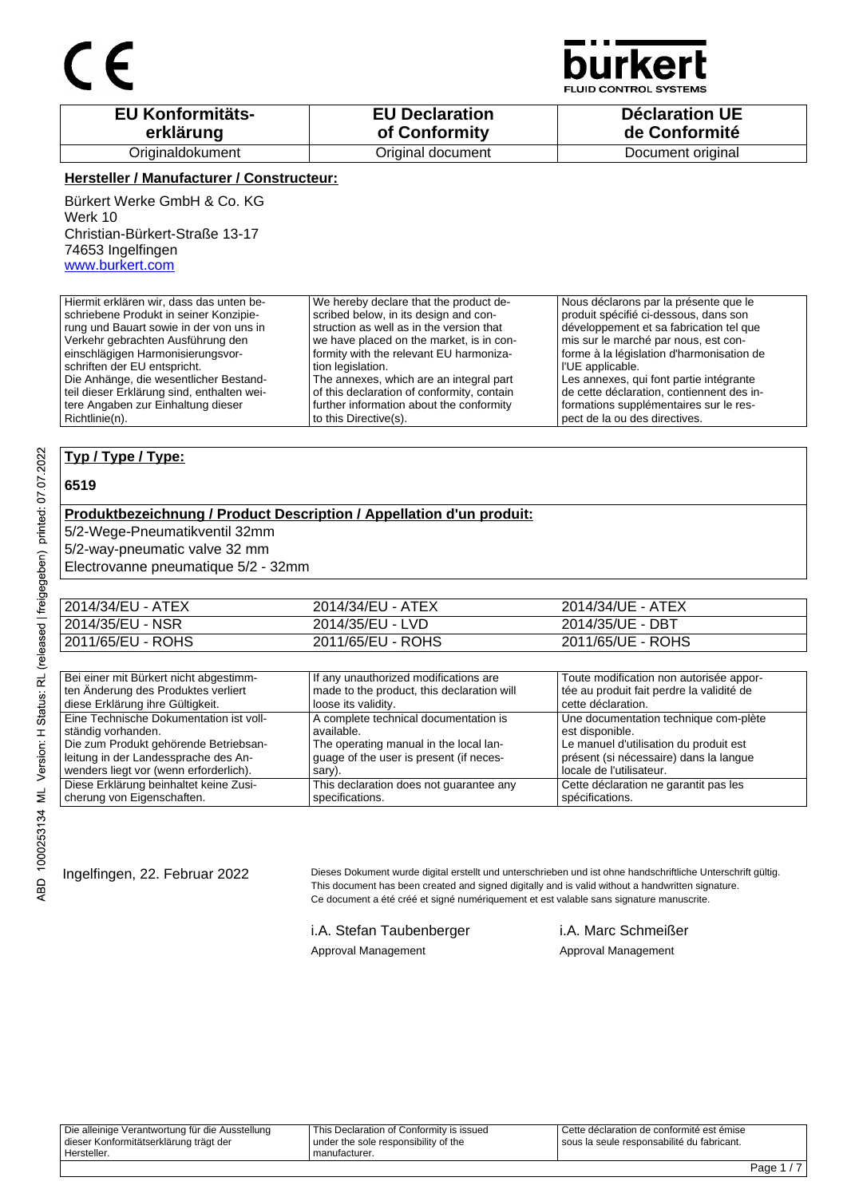

**JID CONTROL SYSTEMS** 

| <b>EU Konformitäts-</b> | <b>EU Declaration</b> | <b>Déclaration UE</b> |
|-------------------------|-----------------------|-----------------------|
| erklärung               | of Conformity         | de Conformité         |
| Originaldokument        | Original document     | Document original     |

#### **Hersteller / Manufacturer / Constructeur:**

Bürkert Werke GmbH & Co. KG Werk 10 Christian-Bürkert-Straße 13-17 74653 Ingelfingen www.burkert.com

Hiermit erklären wir, dass das unten beschriebene Produkt in seiner Konzipierung und Bauart sowie in der von uns in Verkehr gebrachten Ausführung den einschlägigen Harmonisierungsvorschriften der EU entspricht. Die Anhänge, die wesentlicher Bestandteil dieser Erklärung sind, enthalten weitere Angaben zur Einhaltung dieser Richtlinie(n). We hereby declare that the product described below, in its design and construction as well as in the version that we have placed on the market, is in conformity with the relevant EU harmonization legislation. The annexes, which are an integral part of this declaration of conformity, contain further information about the conformity to this Directive(s). Nous déclarons par la présente que le produit spécifié ci-dessous, dans son développement et sa fabrication tel que mis sur le marché par nous, est conforme à la législation d'harmonisation de l'UE applicable. Les annexes, qui font partie intégrante de cette déclaration, contiennent des informations supplémentaires sur le respect de la ou des directives.

### **Typ / Type / Type:**

#### **6519**

#### **Produktbezeichnung / Product Description / Appellation d'un produit:**

5/2-Wege-Pneumatikventil 32mm

5/2-way-pneumatic valve 32 mm

Electrovanne pneumatique 5/2 - 32mm

| 2014/34/EU - ATEX | 2014/34/EU - ATEX | 2014/34/UE - ATEX |
|-------------------|-------------------|-------------------|
| 2014/35/EU - NSR  | 2014/35/EU - LVD  | 2014/35/UE - DBT  |
| 2011/65/EU - ROHS | 2011/65/EU - ROHS | 2011/65/UE - ROHS |

| Bei einer mit Bürkert nicht abgestimm-  | If any unauthorized modifications are      | Toute modification non autorisée appor-   |
|-----------------------------------------|--------------------------------------------|-------------------------------------------|
| ten Änderung des Produktes verliert     | made to the product, this declaration will | tée au produit fait perdre la validité de |
| diese Erklärung ihre Gültigkeit.        | loose its validity.                        | cette déclaration.                        |
| Eine Technische Dokumentation ist voll- | A complete technical documentation is      | Une documentation technique com-plète     |
| ständig vorhanden.                      | available.                                 | est disponible.                           |
| Die zum Produkt gehörende Betriebsan-   | The operating manual in the local lan-     | Le manuel d'utilisation du produit est    |
| leitung in der Landessprache des An-    | quage of the user is present (if neces-    | présent (si nécessaire) dans la langue    |
| wenders liegt vor (wenn erforderlich).  | sary).                                     | locale de l'utilisateur.                  |
| Diese Erklärung beinhaltet keine Zusi-  | This declaration does not guarantee any    | Cette déclaration ne garantit pas les     |
| cherung von Eigenschaften.              | specifications.                            | spécifications.                           |

Ingelfingen, 22. Februar 2022 Dieses Dokument wurde digital erstellt und unterschrieben und ist ohne handschriftliche Unterschrift gültig. This document has been created and signed digitally and is valid without a handwritten signature. Ce document a été créé et signé numériquement et est valable sans signature manuscrite.

> i.A. Stefan Taubenberger i.A. Marc Schmeißer Approval Management Approval Management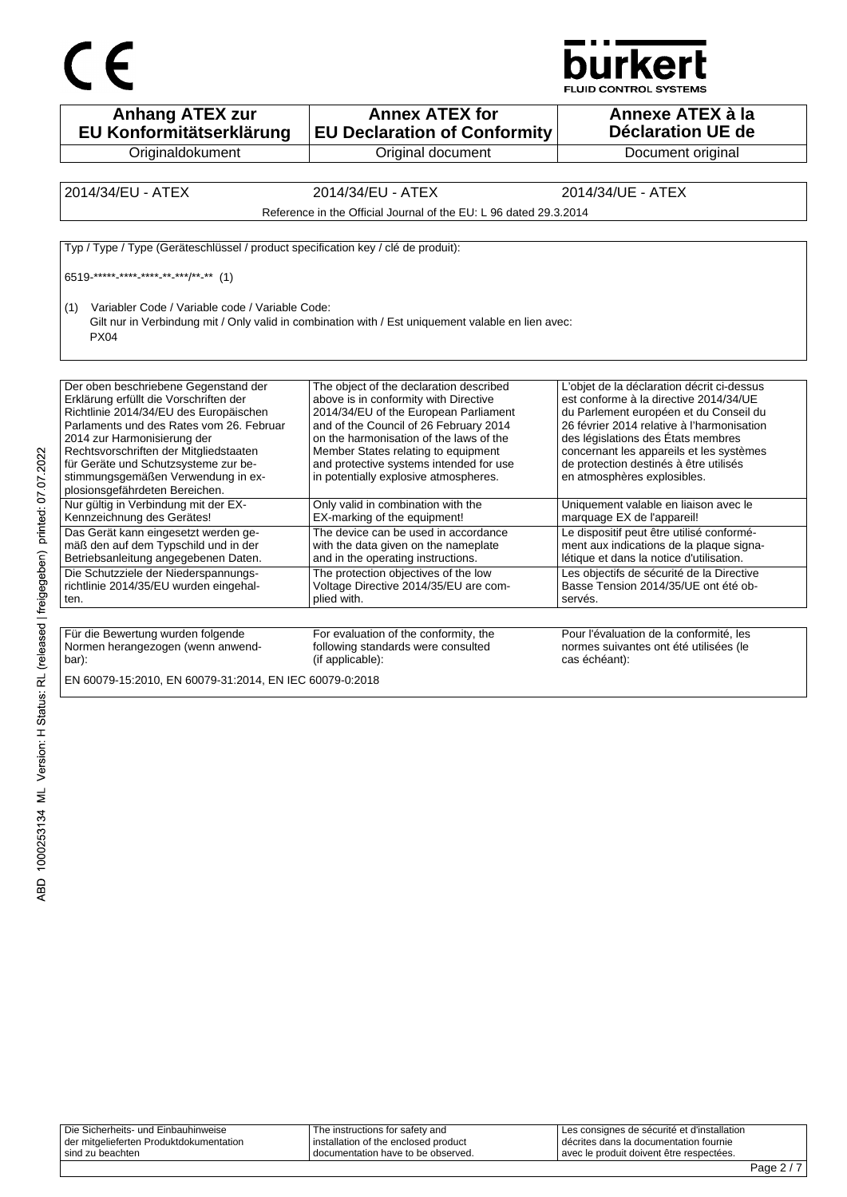# CE



| <b>Anhang ATEX zur</b><br>EU Konformitätserklärung                                                                                                                                                                                                                                                                                                            | <b>Annex ATEX for</b><br><b>EU Declaration of Conformity</b>                                                                                                                                                                                                                                                                              | Annexe ATEX à la<br><b>Déclaration UE de</b>                                                                                                                                                                                                                                                                                            |
|---------------------------------------------------------------------------------------------------------------------------------------------------------------------------------------------------------------------------------------------------------------------------------------------------------------------------------------------------------------|-------------------------------------------------------------------------------------------------------------------------------------------------------------------------------------------------------------------------------------------------------------------------------------------------------------------------------------------|-----------------------------------------------------------------------------------------------------------------------------------------------------------------------------------------------------------------------------------------------------------------------------------------------------------------------------------------|
| Originaldokument                                                                                                                                                                                                                                                                                                                                              | Original document                                                                                                                                                                                                                                                                                                                         | Document original                                                                                                                                                                                                                                                                                                                       |
|                                                                                                                                                                                                                                                                                                                                                               |                                                                                                                                                                                                                                                                                                                                           |                                                                                                                                                                                                                                                                                                                                         |
| 2014/34/EU - ATEX                                                                                                                                                                                                                                                                                                                                             | 2014/34/EU - ATEX                                                                                                                                                                                                                                                                                                                         | 2014/34/UE - ATEX                                                                                                                                                                                                                                                                                                                       |
|                                                                                                                                                                                                                                                                                                                                                               | Reference in the Official Journal of the EU: L 96 dated 29.3.2014                                                                                                                                                                                                                                                                         |                                                                                                                                                                                                                                                                                                                                         |
|                                                                                                                                                                                                                                                                                                                                                               |                                                                                                                                                                                                                                                                                                                                           |                                                                                                                                                                                                                                                                                                                                         |
| Typ / Type / Type (Geräteschlüssel / product specification key / clé de produit):                                                                                                                                                                                                                                                                             |                                                                                                                                                                                                                                                                                                                                           |                                                                                                                                                                                                                                                                                                                                         |
| 6519 ***** **** **** ** ***/** ** (1)                                                                                                                                                                                                                                                                                                                         |                                                                                                                                                                                                                                                                                                                                           |                                                                                                                                                                                                                                                                                                                                         |
| Variabler Code / Variable code / Variable Code:<br>(1)<br><b>PX04</b>                                                                                                                                                                                                                                                                                         | Gilt nur in Verbindung mit / Only valid in combination with / Est uniquement valable en lien avec:                                                                                                                                                                                                                                        |                                                                                                                                                                                                                                                                                                                                         |
| Der oben beschriebene Gegenstand der<br>Erklärung erfüllt die Vorschriften der<br>Richtlinie 2014/34/EU des Europäischen<br>Parlaments und des Rates vom 26. Februar<br>2014 zur Harmonisierung der<br>Rechtsvorschriften der Mitgliedstaaten<br>für Geräte und Schutzsysteme zur be-<br>stimmungsgemäßen Verwendung in ex-<br>plosionsgefährdeten Bereichen. | The object of the declaration described<br>above is in conformity with Directive<br>2014/34/EU of the European Parliament<br>and of the Council of 26 February 2014<br>on the harmonisation of the laws of the<br>Member States relating to equipment<br>and protective systems intended for use<br>in potentially explosive atmospheres. | L'objet de la déclaration décrit ci-dessus<br>est conforme à la directive 2014/34/UE<br>du Parlement européen et du Conseil du<br>26 février 2014 relative à l'harmonisation<br>des législations des États membres<br>concernant les appareils et les systèmes<br>de protection destinés à être utilisés<br>en atmosphères explosibles. |
| Nur gültig in Verbindung mit der EX-<br>Kennzeichnung des Gerätes!                                                                                                                                                                                                                                                                                            | Only valid in combination with the<br>EX-marking of the equipment!                                                                                                                                                                                                                                                                        | Uniquement valable en liaison avec le<br>marquage EX de l'appareil!                                                                                                                                                                                                                                                                     |
| Das Gerät kann eingesetzt werden ge-<br>mäß den auf dem Typschild und in der<br>Betriebsanleitung angegebenen Daten.                                                                                                                                                                                                                                          | The device can be used in accordance<br>with the data given on the nameplate<br>and in the operating instructions.                                                                                                                                                                                                                        | Le dispositif peut être utilisé conformé-<br>ment aux indications de la plaque signa-<br>létique et dans la notice d'utilisation.                                                                                                                                                                                                       |
| Die Schutzziele der Niederspannungs-<br>richtlinie 2014/35/EU wurden eingehal-<br>ten.                                                                                                                                                                                                                                                                        | The protection objectives of the low<br>Voltage Directive 2014/35/EU are com-<br>plied with.                                                                                                                                                                                                                                              | Les objectifs de sécurité de la Directive<br>Basse Tension 2014/35/UE ont été ob-<br>servés.                                                                                                                                                                                                                                            |
|                                                                                                                                                                                                                                                                                                                                                               |                                                                                                                                                                                                                                                                                                                                           |                                                                                                                                                                                                                                                                                                                                         |
| Für die Bewertung wurden folgende<br>Normen herangezogen (wenn anwend-<br>bar):                                                                                                                                                                                                                                                                               | For evaluation of the conformity, the<br>following standards were consulted<br>(if applicable):                                                                                                                                                                                                                                           | Pour l'évaluation de la conformité, les<br>normes suivantes ont été utilisées (le<br>cas échéant):                                                                                                                                                                                                                                      |
| EN 60079-15:2010, EN 60079-31:2014, EN IEC 60079-0:2018                                                                                                                                                                                                                                                                                                       |                                                                                                                                                                                                                                                                                                                                           |                                                                                                                                                                                                                                                                                                                                         |

ABD 1000253134 ML Version: H Status: RL (released | freigegeben) printed: 07.07.2022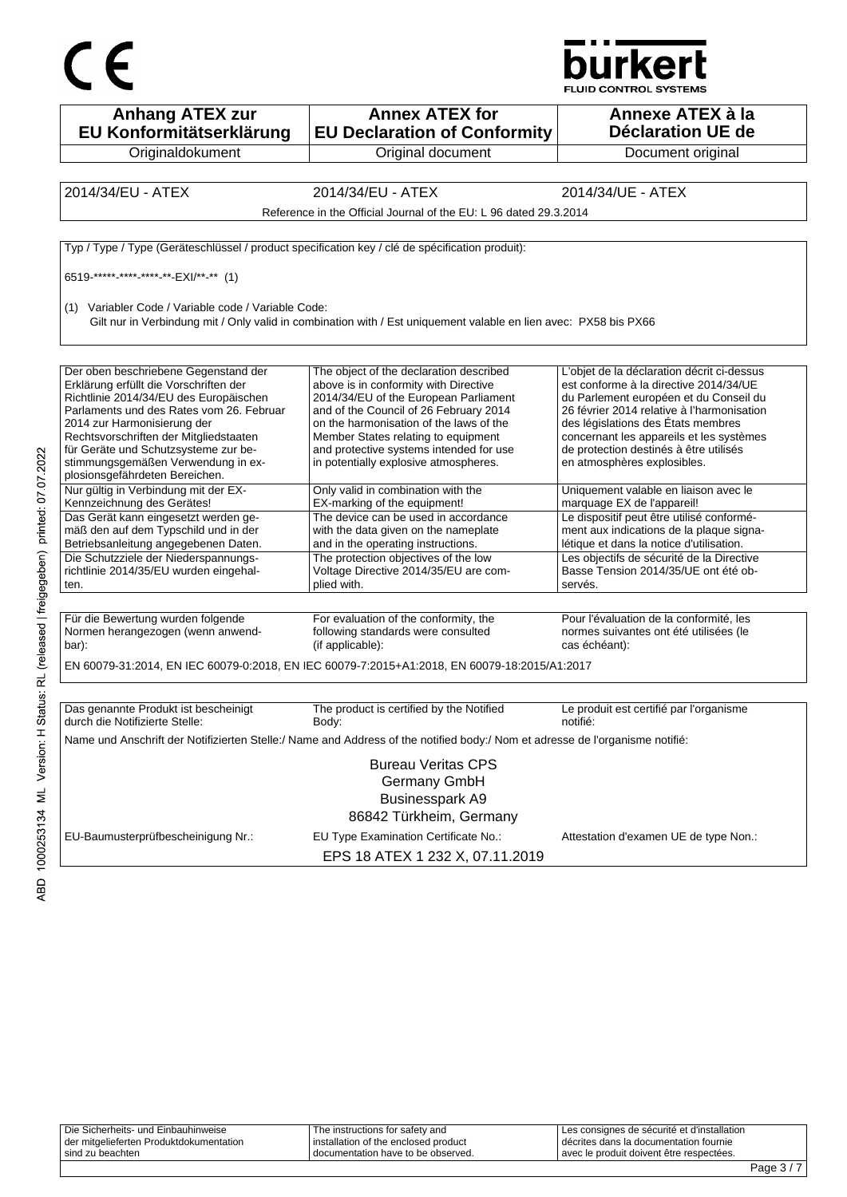



| <b>Anhang ATEX zur</b><br>EU Konformitätserklärung                                                                                                                                                                                                                                                                                                            | <b>Annex ATEX for</b><br><b>EU Declaration of Conformity</b>                                                                                                                                                                                                                                                                              | Annexe ATEX à la<br><b>Déclaration UE de</b>                                                                                                                                                                                                                                                                                            |
|---------------------------------------------------------------------------------------------------------------------------------------------------------------------------------------------------------------------------------------------------------------------------------------------------------------------------------------------------------------|-------------------------------------------------------------------------------------------------------------------------------------------------------------------------------------------------------------------------------------------------------------------------------------------------------------------------------------------|-----------------------------------------------------------------------------------------------------------------------------------------------------------------------------------------------------------------------------------------------------------------------------------------------------------------------------------------|
| Originaldokument                                                                                                                                                                                                                                                                                                                                              | Original document                                                                                                                                                                                                                                                                                                                         | Document original                                                                                                                                                                                                                                                                                                                       |
|                                                                                                                                                                                                                                                                                                                                                               |                                                                                                                                                                                                                                                                                                                                           |                                                                                                                                                                                                                                                                                                                                         |
| 2014/34/EU - ATEX                                                                                                                                                                                                                                                                                                                                             | 2014/34/EU - ATEX                                                                                                                                                                                                                                                                                                                         | 2014/34/UE - ATEX                                                                                                                                                                                                                                                                                                                       |
|                                                                                                                                                                                                                                                                                                                                                               | Reference in the Official Journal of the EU: L 96 dated 29.3.2014                                                                                                                                                                                                                                                                         |                                                                                                                                                                                                                                                                                                                                         |
| Typ / Type / Type (Geräteschlüssel / product specification key / clé de spécification produit):                                                                                                                                                                                                                                                               |                                                                                                                                                                                                                                                                                                                                           |                                                                                                                                                                                                                                                                                                                                         |
| 6519 ***** **** **** ** EXI/** -** (1)                                                                                                                                                                                                                                                                                                                        |                                                                                                                                                                                                                                                                                                                                           |                                                                                                                                                                                                                                                                                                                                         |
| (1) Variabler Code / Variable code / Variable Code:                                                                                                                                                                                                                                                                                                           | Gilt nur in Verbindung mit / Only valid in combination with / Est uniquement valable en lien avec: PX58 bis PX66                                                                                                                                                                                                                          |                                                                                                                                                                                                                                                                                                                                         |
| Der oben beschriebene Gegenstand der<br>Erklärung erfüllt die Vorschriften der<br>Richtlinie 2014/34/EU des Europäischen<br>Parlaments und des Rates vom 26. Februar<br>2014 zur Harmonisierung der<br>Rechtsvorschriften der Mitgliedstaaten<br>für Geräte und Schutzsysteme zur be-<br>stimmungsgemäßen Verwendung in ex-<br>plosionsgefährdeten Bereichen. | The object of the declaration described<br>above is in conformity with Directive<br>2014/34/EU of the European Parliament<br>and of the Council of 26 February 2014<br>on the harmonisation of the laws of the<br>Member States relating to equipment<br>and protective systems intended for use<br>in potentially explosive atmospheres. | L'objet de la déclaration décrit ci-dessus<br>est conforme à la directive 2014/34/UE<br>du Parlement européen et du Conseil du<br>26 février 2014 relative à l'harmonisation<br>des législations des États membres<br>concernant les appareils et les systèmes<br>de protection destinés à être utilisés<br>en atmosphères explosibles. |
| Nur gültig in Verbindung mit der EX-<br>Kennzeichnung des Gerätes!                                                                                                                                                                                                                                                                                            | Only valid in combination with the<br>EX-marking of the equipment!                                                                                                                                                                                                                                                                        | Uniquement valable en liaison avec le<br>marquage EX de l'appareil!                                                                                                                                                                                                                                                                     |
| Das Gerät kann eingesetzt werden ge-<br>mäß den auf dem Typschild und in der<br>Betriebsanleitung angegebenen Daten.<br>Die Schutzziele der Niederspannungs-<br>richtlinie 2014/35/EU wurden eingehal-                                                                                                                                                        | The device can be used in accordance<br>with the data given on the nameplate<br>and in the operating instructions.<br>The protection objectives of the low<br>Voltage Directive 2014/35/EU are com-                                                                                                                                       | Le dispositif peut être utilisé conformé-<br>ment aux indications de la plaque signa-<br>létique et dans la notice d'utilisation.<br>Les objectifs de sécurité de la Directive<br>Basse Tension 2014/35/UE ont été ob-                                                                                                                  |
| ten.                                                                                                                                                                                                                                                                                                                                                          | plied with.                                                                                                                                                                                                                                                                                                                               | servés.                                                                                                                                                                                                                                                                                                                                 |
| Für die Bewertung wurden folgende<br>Normen herangezogen (wenn anwend-<br>bar):                                                                                                                                                                                                                                                                               | For evaluation of the conformity, the<br>following standards were consulted<br>(if applicable):<br>EN 60079-31:2014, EN IEC 60079-0:2018, EN IEC 60079-7:2015+A1:2018, EN 60079-18:2015/A1:2017                                                                                                                                           | Pour l'évaluation de la conformité, les<br>normes suivantes ont été utilisées (le<br>cas échéant):                                                                                                                                                                                                                                      |
|                                                                                                                                                                                                                                                                                                                                                               |                                                                                                                                                                                                                                                                                                                                           |                                                                                                                                                                                                                                                                                                                                         |
| Das genannte Produkt ist bescheinigt<br>durch die Notifizierte Stelle:                                                                                                                                                                                                                                                                                        | The product is certified by the Notified<br>Body:                                                                                                                                                                                                                                                                                         | Le produit est certifié par l'organisme<br>notifié:                                                                                                                                                                                                                                                                                     |
|                                                                                                                                                                                                                                                                                                                                                               | Name und Anschrift der Notifizierten Stelle:/ Name and Address of the notified body:/ Nom et adresse de l'organisme notifié:                                                                                                                                                                                                              |                                                                                                                                                                                                                                                                                                                                         |
|                                                                                                                                                                                                                                                                                                                                                               | <b>Bureau Veritas CPS</b><br>Germany GmbH<br><b>Businesspark A9</b><br>86842 Türkheim, Germany                                                                                                                                                                                                                                            |                                                                                                                                                                                                                                                                                                                                         |
| EU-Baumusterprüfbescheinigung Nr.:                                                                                                                                                                                                                                                                                                                            | EU Type Examination Certificate No.:<br>EPS 18 ATEX 1 232 X, 07.11.2019                                                                                                                                                                                                                                                                   | Attestation d'examen UE de type Non.:                                                                                                                                                                                                                                                                                                   |

| Die Sicherheits- und Einbauhinweise     | The instructions for safety and        | I Les consignes de sécurité et d'installation |
|-----------------------------------------|----------------------------------------|-----------------------------------------------|
| der mitgelieferten Produktdokumentation | I installation of the enclosed product | I décrites dans la documentation fournie      |
| sind zu beachten                        | documentation have to be observed.     | Lavec le produit doivent être respectées.     |
|                                         |                                        |                                               |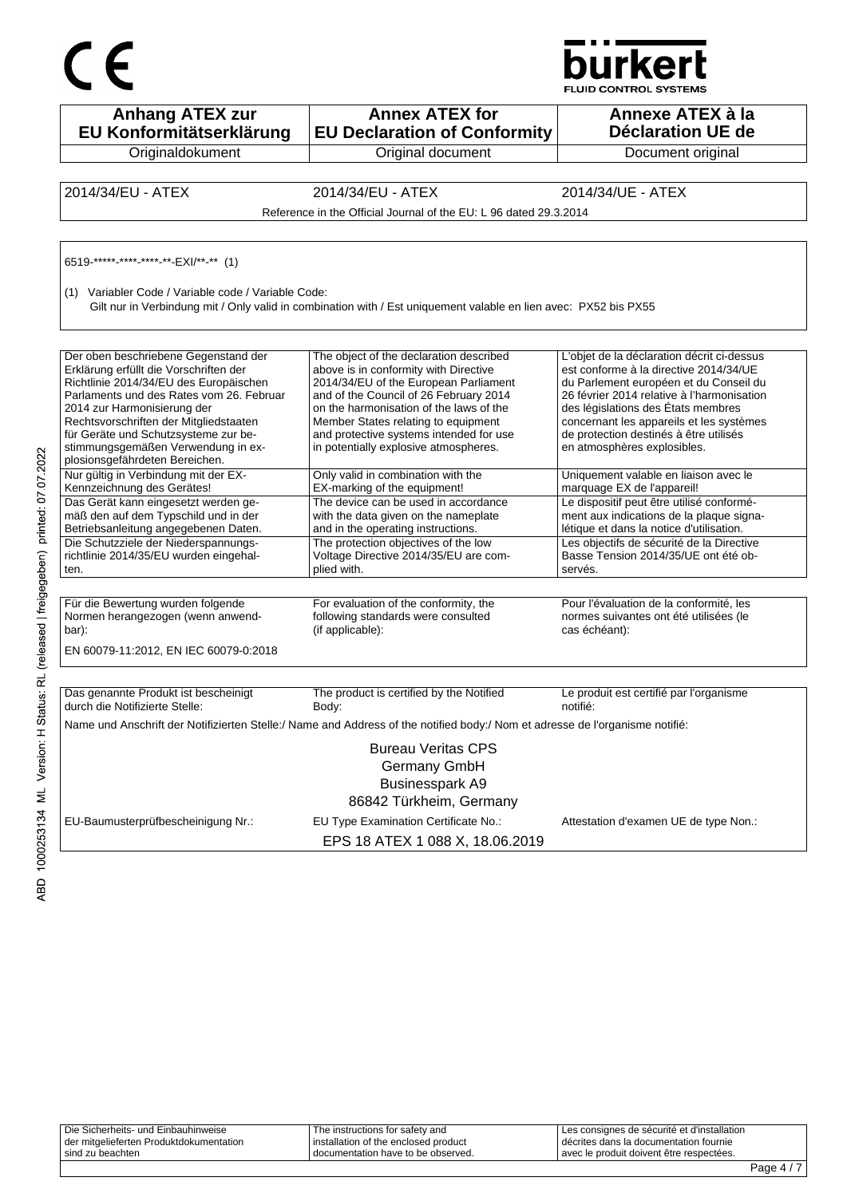

| $\epsilon$                                                                                                                                                                                                                                                                                                                                                    |                                                                                                                                                                                                                                                                                                                                           | burkert<br><b>FLUID CONTROL SYSTEMS</b>                                                                                                                                                                                                                                                                                                 |
|---------------------------------------------------------------------------------------------------------------------------------------------------------------------------------------------------------------------------------------------------------------------------------------------------------------------------------------------------------------|-------------------------------------------------------------------------------------------------------------------------------------------------------------------------------------------------------------------------------------------------------------------------------------------------------------------------------------------|-----------------------------------------------------------------------------------------------------------------------------------------------------------------------------------------------------------------------------------------------------------------------------------------------------------------------------------------|
| <b>Anhang ATEX zur</b><br>EU Konformitätserklärung                                                                                                                                                                                                                                                                                                            | <b>Annex ATEX for</b><br><b>EU Declaration of Conformity</b>                                                                                                                                                                                                                                                                              | Annexe ATEX à la<br><b>Déclaration UE de</b>                                                                                                                                                                                                                                                                                            |
| Originaldokument                                                                                                                                                                                                                                                                                                                                              | Original document                                                                                                                                                                                                                                                                                                                         | Document original                                                                                                                                                                                                                                                                                                                       |
| 2014/34/EU - ATEX                                                                                                                                                                                                                                                                                                                                             | 2014/34/EU - ATEX<br>Reference in the Official Journal of the EU: L 96 dated 29.3.2014                                                                                                                                                                                                                                                    | 2014/34/UE - ATEX                                                                                                                                                                                                                                                                                                                       |
| 6519 ***** **** **** ** EXI/** ** (1)<br>(1) Variabler Code / Variable code / Variable Code:                                                                                                                                                                                                                                                                  | Gilt nur in Verbindung mit / Only valid in combination with / Est uniquement valable en lien avec: PX52 bis PX55                                                                                                                                                                                                                          |                                                                                                                                                                                                                                                                                                                                         |
| Der oben beschriebene Gegenstand der<br>Erklärung erfüllt die Vorschriften der<br>Richtlinie 2014/34/EU des Europäischen<br>Parlaments und des Rates vom 26. Februar<br>2014 zur Harmonisierung der<br>Rechtsvorschriften der Mitgliedstaaten<br>für Geräte und Schutzsysteme zur be-<br>stimmungsgemäßen Verwendung in ex-<br>plosionsgefährdeten Bereichen. | The object of the declaration described<br>above is in conformity with Directive<br>2014/34/EU of the European Parliament<br>and of the Council of 26 February 2014<br>on the harmonisation of the laws of the<br>Member States relating to equipment<br>and protective systems intended for use<br>in potentially explosive atmospheres. | L'objet de la déclaration décrit ci-dessus<br>est conforme à la directive 2014/34/UE<br>du Parlement européen et du Conseil du<br>26 février 2014 relative à l'harmonisation<br>des législations des États membres<br>concernant les appareils et les systèmes<br>de protection destinés à être utilisés<br>en atmosphères explosibles. |
| Nur gültig in Verbindung mit der EX-<br>Kennzeichnung des Gerätes!                                                                                                                                                                                                                                                                                            | Only valid in combination with the<br>EX-marking of the equipment!                                                                                                                                                                                                                                                                        | Uniquement valable en liaison avec le<br>marquage EX de l'appareil!                                                                                                                                                                                                                                                                     |
| Das Gerät kann eingesetzt werden ge-<br>mäß den auf dem Typschild und in der<br>Betriebsanleitung angegebenen Daten.                                                                                                                                                                                                                                          | The device can be used in accordance<br>with the data given on the nameplate<br>and in the operating instructions.                                                                                                                                                                                                                        | Le dispositif peut être utilisé conformé-<br>ment aux indications de la plaque signa-<br>létique et dans la notice d'utilisation.                                                                                                                                                                                                       |
| Die Schutzziele der Niederspannungs-<br>richtlinie 2014/35/EU wurden eingehal-<br>ten.                                                                                                                                                                                                                                                                        | The protection objectives of the low<br>Voltage Directive 2014/35/EU are com-<br>plied with.                                                                                                                                                                                                                                              | Les objectifs de sécurité de la Directive<br>Basse Tension 2014/35/UE ont été ob-<br>servés.                                                                                                                                                                                                                                            |
| Für die Bewertung wurden folgende<br>Normen herangezogen (wenn anwend-<br>bar):<br>EN 60079-11:2012, EN IEC 60079-0:2018                                                                                                                                                                                                                                      | For evaluation of the conformity, the<br>following standards were consulted<br>(if applicable):                                                                                                                                                                                                                                           | Pour l'évaluation de la conformité, les<br>normes suivantes ont été utilisées (le<br>cas échéant):                                                                                                                                                                                                                                      |
| Das genannte Produkt ist bescheinigt<br>durch die Notifizierte Stelle:                                                                                                                                                                                                                                                                                        | The product is certified by the Notified<br>Body:                                                                                                                                                                                                                                                                                         | Le produit est certifié par l'organisme<br>notifié:                                                                                                                                                                                                                                                                                     |
|                                                                                                                                                                                                                                                                                                                                                               | Name und Anschrift der Notifizierten Stelle:/ Name and Address of the notified body:/ Nom et adresse de l'organisme notifié:                                                                                                                                                                                                              |                                                                                                                                                                                                                                                                                                                                         |
|                                                                                                                                                                                                                                                                                                                                                               | <b>Bureau Veritas CPS</b><br><b>Germany GmbH</b><br><b>Businesspark A9</b><br>86842 Türkheim, Germany                                                                                                                                                                                                                                     |                                                                                                                                                                                                                                                                                                                                         |
| EU-Baumusterprüfbescheinigung Nr.:                                                                                                                                                                                                                                                                                                                            | EU Type Examination Certificate No.:<br>EPS 18 ATEX 1 088 X, 18.06.2019                                                                                                                                                                                                                                                                   | Attestation d'examen UE de type Non.:                                                                                                                                                                                                                                                                                                   |

| sind zu beachten                        | I documentation have to be observed.   | I avec le produit doivent être respectées.    |
|-----------------------------------------|----------------------------------------|-----------------------------------------------|
| der mitgelieferten Produktdokumentation | I installation of the enclosed product | I décrites dans la documentation fournie      |
| Die Sicherheits- und Einbauhinweise     | The instructions for safety and        | I Les consignes de sécurité et d'installation |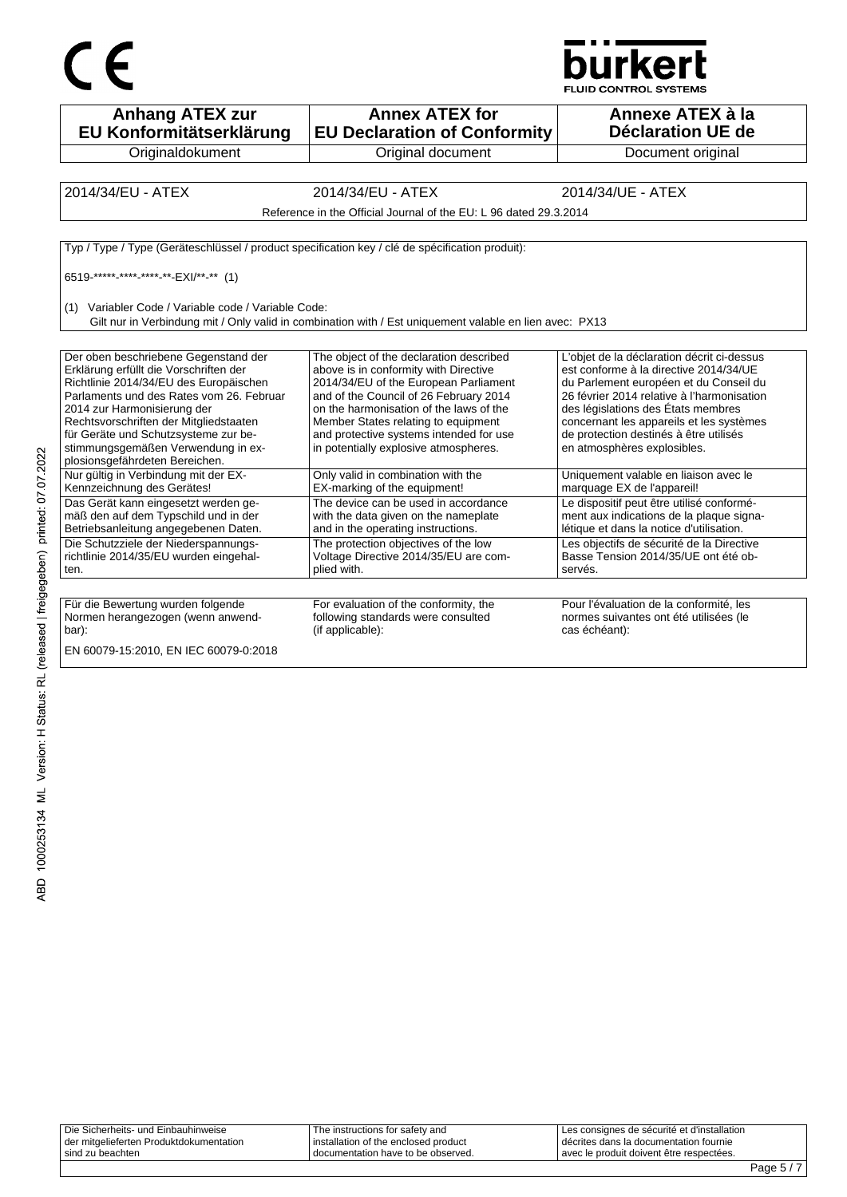



| <b>Anhang ATEX zur</b><br>EU Konformitätserklärung                                                                                                                                                                                                                                                                                                                                                                                                                                                                                                                                                                                                    | <b>Annex ATEX for</b><br><b>EU Declaration of Conformity</b>                                                                                                                                                                                                                                                                                                                                                                                                                                                                                                                                                                          | Annexe ATEX à la<br>Déclaration UE de                                                                                                                                                                                                                                                                                                                                                                                                                                                                                                                                                                                                               |
|-------------------------------------------------------------------------------------------------------------------------------------------------------------------------------------------------------------------------------------------------------------------------------------------------------------------------------------------------------------------------------------------------------------------------------------------------------------------------------------------------------------------------------------------------------------------------------------------------------------------------------------------------------|---------------------------------------------------------------------------------------------------------------------------------------------------------------------------------------------------------------------------------------------------------------------------------------------------------------------------------------------------------------------------------------------------------------------------------------------------------------------------------------------------------------------------------------------------------------------------------------------------------------------------------------|-----------------------------------------------------------------------------------------------------------------------------------------------------------------------------------------------------------------------------------------------------------------------------------------------------------------------------------------------------------------------------------------------------------------------------------------------------------------------------------------------------------------------------------------------------------------------------------------------------------------------------------------------------|
| Originaldokument                                                                                                                                                                                                                                                                                                                                                                                                                                                                                                                                                                                                                                      | Original document                                                                                                                                                                                                                                                                                                                                                                                                                                                                                                                                                                                                                     | Document original                                                                                                                                                                                                                                                                                                                                                                                                                                                                                                                                                                                                                                   |
|                                                                                                                                                                                                                                                                                                                                                                                                                                                                                                                                                                                                                                                       |                                                                                                                                                                                                                                                                                                                                                                                                                                                                                                                                                                                                                                       |                                                                                                                                                                                                                                                                                                                                                                                                                                                                                                                                                                                                                                                     |
| 2014/34/EU - ATEX                                                                                                                                                                                                                                                                                                                                                                                                                                                                                                                                                                                                                                     | 2014/34/EU - ATEX                                                                                                                                                                                                                                                                                                                                                                                                                                                                                                                                                                                                                     | 2014/34/UE - ATEX                                                                                                                                                                                                                                                                                                                                                                                                                                                                                                                                                                                                                                   |
|                                                                                                                                                                                                                                                                                                                                                                                                                                                                                                                                                                                                                                                       | Reference in the Official Journal of the EU: L 96 dated 29.3.2014                                                                                                                                                                                                                                                                                                                                                                                                                                                                                                                                                                     |                                                                                                                                                                                                                                                                                                                                                                                                                                                                                                                                                                                                                                                     |
|                                                                                                                                                                                                                                                                                                                                                                                                                                                                                                                                                                                                                                                       |                                                                                                                                                                                                                                                                                                                                                                                                                                                                                                                                                                                                                                       |                                                                                                                                                                                                                                                                                                                                                                                                                                                                                                                                                                                                                                                     |
| Typ / Type / Type (Geräteschlüssel / product specification key / clé de spécification produit):                                                                                                                                                                                                                                                                                                                                                                                                                                                                                                                                                       |                                                                                                                                                                                                                                                                                                                                                                                                                                                                                                                                                                                                                                       |                                                                                                                                                                                                                                                                                                                                                                                                                                                                                                                                                                                                                                                     |
| 6519 ***** **** **** ** EXI/** ** (1)                                                                                                                                                                                                                                                                                                                                                                                                                                                                                                                                                                                                                 |                                                                                                                                                                                                                                                                                                                                                                                                                                                                                                                                                                                                                                       |                                                                                                                                                                                                                                                                                                                                                                                                                                                                                                                                                                                                                                                     |
|                                                                                                                                                                                                                                                                                                                                                                                                                                                                                                                                                                                                                                                       |                                                                                                                                                                                                                                                                                                                                                                                                                                                                                                                                                                                                                                       |                                                                                                                                                                                                                                                                                                                                                                                                                                                                                                                                                                                                                                                     |
| (1) Variabler Code / Variable code / Variable Code:                                                                                                                                                                                                                                                                                                                                                                                                                                                                                                                                                                                                   | Gilt nur in Verbindung mit / Only valid in combination with / Est uniquement valable en lien avec: PX13                                                                                                                                                                                                                                                                                                                                                                                                                                                                                                                               |                                                                                                                                                                                                                                                                                                                                                                                                                                                                                                                                                                                                                                                     |
|                                                                                                                                                                                                                                                                                                                                                                                                                                                                                                                                                                                                                                                       |                                                                                                                                                                                                                                                                                                                                                                                                                                                                                                                                                                                                                                       |                                                                                                                                                                                                                                                                                                                                                                                                                                                                                                                                                                                                                                                     |
| Der oben beschriebene Gegenstand der<br>Erklärung erfüllt die Vorschriften der<br>Richtlinie 2014/34/EU des Europäischen<br>Parlaments und des Rates vom 26. Februar<br>2014 zur Harmonisierung der<br>Rechtsvorschriften der Mitgliedstaaten<br>für Geräte und Schutzsysteme zur be-<br>stimmungsgemäßen Verwendung in ex-<br>plosionsgefährdeten Bereichen.<br>Nur gültig in Verbindung mit der EX-<br>Kennzeichnung des Gerätes!<br>Das Gerät kann eingesetzt werden ge-<br>mäß den auf dem Typschild und in der<br>Betriebsanleitung angegebenen Daten.<br>Die Schutzziele der Niederspannungs-<br>richtlinie 2014/35/EU wurden eingehal-<br>ten. | The object of the declaration described<br>above is in conformity with Directive<br>2014/34/EU of the European Parliament<br>and of the Council of 26 February 2014<br>on the harmonisation of the laws of the<br>Member States relating to equipment<br>and protective systems intended for use<br>in potentially explosive atmospheres.<br>Only valid in combination with the<br>EX-marking of the equipment!<br>The device can be used in accordance<br>with the data given on the nameplate<br>and in the operating instructions.<br>The protection objectives of the low<br>Voltage Directive 2014/35/EU are com-<br>plied with. | L'objet de la déclaration décrit ci-dessus<br>est conforme à la directive 2014/34/UE<br>du Parlement européen et du Conseil du<br>26 février 2014 relative à l'harmonisation<br>des législations des États membres<br>concernant les appareils et les systèmes<br>de protection destinés à être utilisés<br>en atmosphères explosibles.<br>Uniquement valable en liaison avec le<br>marquage EX de l'appareil!<br>Le dispositif peut être utilisé conformé-<br>ment aux indications de la plaque signa-<br>létique et dans la notice d'utilisation.<br>Les objectifs de sécurité de la Directive<br>Basse Tension 2014/35/UE ont été ob-<br>servés. |
| Für die Bewertung wurden folgende<br>Normen herangezogen (wenn anwend-<br>bar):<br>EN 60079-15:2010, EN IEC 60079-0:2018                                                                                                                                                                                                                                                                                                                                                                                                                                                                                                                              | For evaluation of the conformity, the<br>following standards were consulted<br>(if applicable):                                                                                                                                                                                                                                                                                                                                                                                                                                                                                                                                       | Pour l'évaluation de la conformité, les<br>normes suivantes ont été utilisées (le<br>cas échéant):                                                                                                                                                                                                                                                                                                                                                                                                                                                                                                                                                  |

| Die Sicherheits- und Einbauhinweise     | The instructions for safety and      | Les consignes de sécurité et d'installation |
|-----------------------------------------|--------------------------------------|---------------------------------------------|
| der mitgelieferten Produktdokumentation | installation of the enclosed product | décrites dans la documentation fournie      |
| ' sind zu beachten                      | I documentation have to be observed. | avec le produit doivent être respectées.    |
|                                         |                                      |                                             |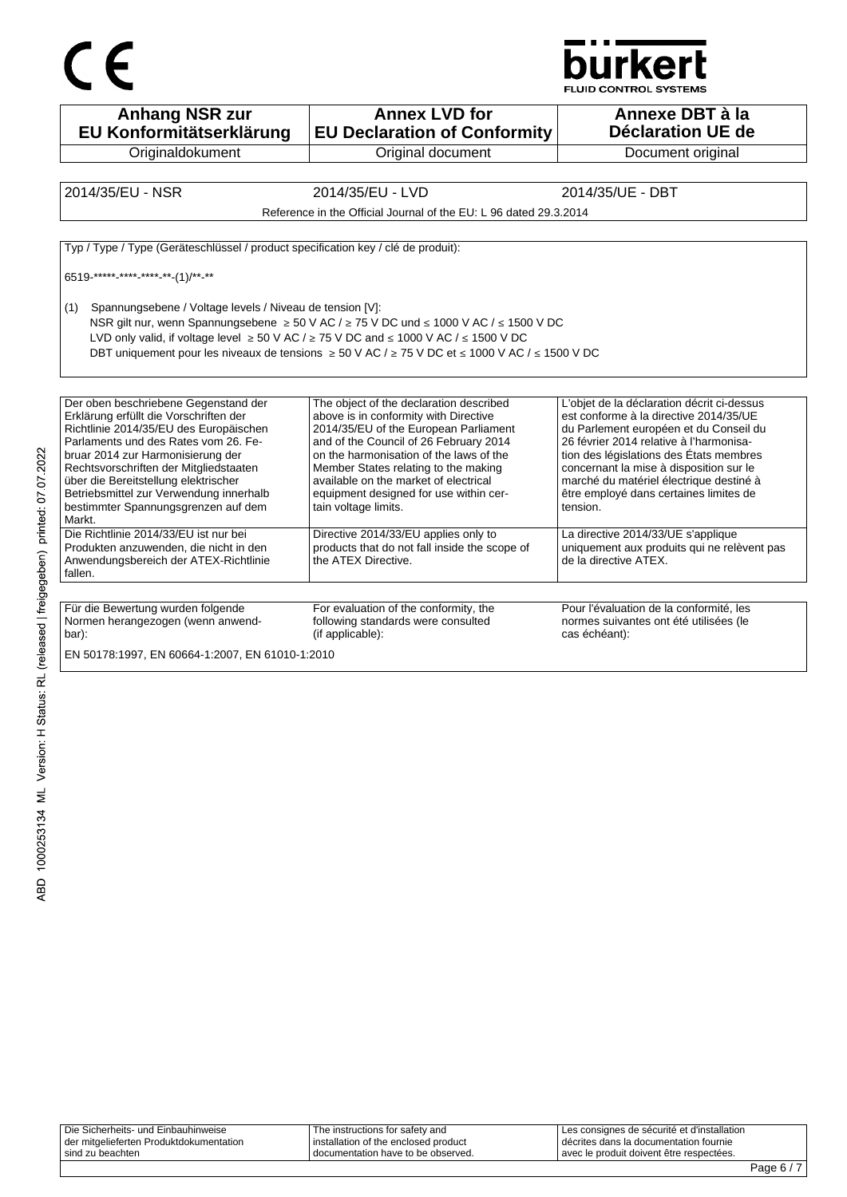



**Anhang NSR zur EU Konformitätserklärung Originaldokument Annex LVD for EU Declaration of Conformity** Original document **Annexe DBT à la Déclaration UE de**  Document original 2014/35/EU - NSR 2014/35/EU - LVD 2014/35/UE - DBT Reference in the Official Journal of the EU: L 96 dated 29.3.2014 Typ / Type / Type (Geräteschlüssel / product specification key / clé de produit): 6519-\*\*\*\*\*-\*\*\*\*-\*\*\*\*-\*\*-(1)/\*\*-\*\* (1) Spannungsebene / Voltage levels / Niveau de tension [V]: NSR gilt nur, wenn Spannungsebene ≥ 50 V AC / ≥ 75 V DC und ≤ 1000 V AC / ≤ 1500 V DC LVD only valid, if voltage level  $\geq 50$  V AC /  $\geq 75$  V DC and ≤ 1000 V AC / ≤ 1500 V DC DBT uniquement pour les niveaux de tensions ≥ 50 V AC / ≥ 75 V DC et ≤ 1000 V AC / ≤ 1500 V DC Der oben beschriebene Gegenstand der Erklärung erfüllt die Vorschriften der Richtlinie 2014/35/EU des Europäischen Parlaments und des Rates vom 26. Februar 2014 zur Harmonisierung der Rechtsvorschriften der Mitgliedstaaten über die Bereitstellung elektrischer Betriebsmittel zur Verwendung innerhalb bestimmter Spannungsgrenzen auf dem Markt. The object of the declaration described above is in conformity with Directive 2014/35/EU of the European Parliament and of the Council of 26 February 2014 on the harmonisation of the laws of the Member States relating to the making available on the market of electrical equipment designed for use within certain voltage limits. L'objet de la déclaration décrit ci-dessus est conforme à la directive 2014/35/UE du Parlement européen et du Conseil du 26 février 2014 relative à l'harmonisation des législations des États membres concernant la mise à disposition sur le marché du matériel électrique destiné à être employé dans certaines limites de tension. Die Richtlinie 2014/33/EU ist nur bei Produkten anzuwenden, die nicht in den Anwendungsbereich der ATEX-Richtlinie fallen. Directive 2014/33/EU applies only to products that do not fall inside the scope of the ATEX Directive. La directive 2014/33/UE s'applique uniquement aux produits qui ne relèvent pas de la directive ATEX. Für die Bewertung wurden folgende Normen herangezogen (wenn anwendbar): For evaluation of the conformity, the following standards were consulted (if applicable): Pour l'évaluation de la conformité, les normes suivantes ont été utilisées (le cas échéant): EN 50178:1997, EN 60664-1:2007, EN 61010-1:2010

| Die Sicherheits- und Einbauhinweise     | The instructions for safety and      | Les consignes de sécurité et d'installation |
|-----------------------------------------|--------------------------------------|---------------------------------------------|
| der mitgelieferten Produktdokumentation | installation of the enclosed product | décrites dans la documentation fournie      |
| ' sind zu beachten                      | I documentation have to be observed. | avec le produit doivent être respectées.    |
|                                         |                                      | Page $6/7$                                  |